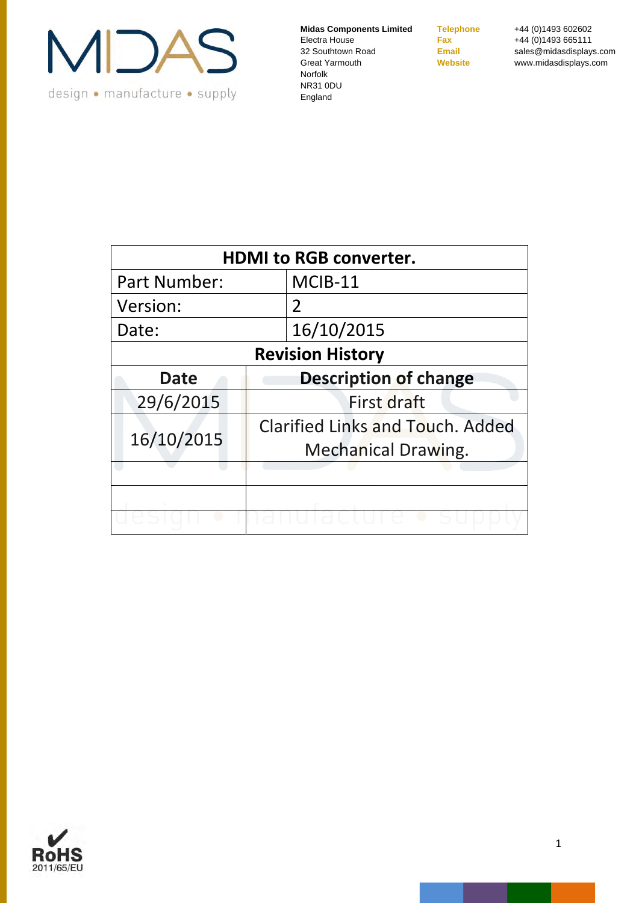

**Telephone** +44 (0)1493 602602 **Fax** +44 (0)1493 665111 **Email** sales@midasdisplays.com **Website** www.midasdisplays.com

| <b>HDMI to RGB converter.</b> |                                                                       |  |
|-------------------------------|-----------------------------------------------------------------------|--|
| Part Number:                  | MCIB-11                                                               |  |
| Version:                      | $\overline{2}$                                                        |  |
| Date:                         | 16/10/2015                                                            |  |
|                               | <b>Revision History</b>                                               |  |
| <b>Date</b>                   | <b>Description of change</b>                                          |  |
| 29/6/2015                     | First draft                                                           |  |
| 16/10/2015                    | <b>Clarified Links and Touch. Added</b><br><b>Mechanical Drawing.</b> |  |
|                               |                                                                       |  |
|                               |                                                                       |  |
|                               |                                                                       |  |

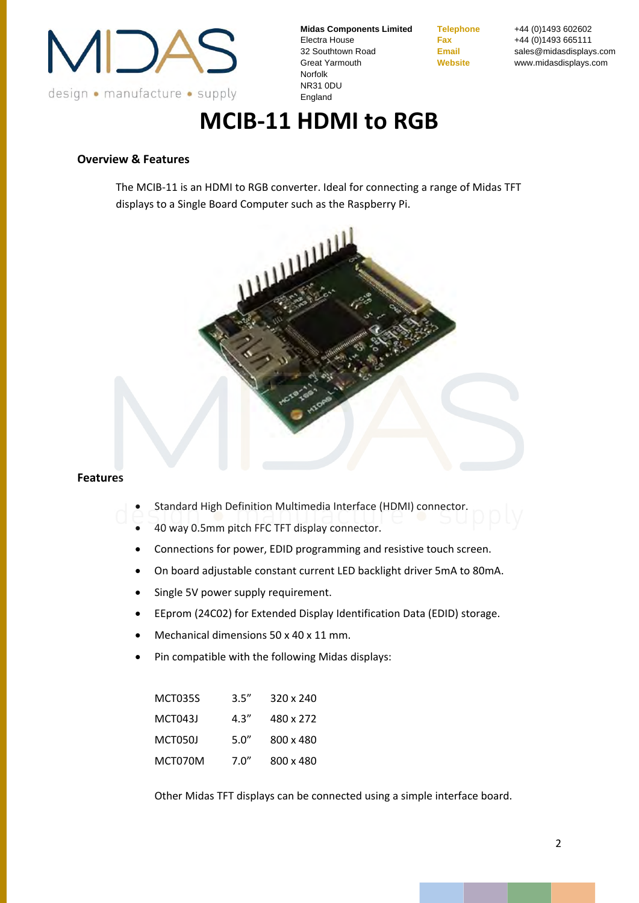

**Telephone** +44 (0)1493 602602 **Fax** +44 (0)1493 665111 **Email** sales@midasdisplays.com **Website** www.midasdisplays.com

# **MCIB‐11 HDMI to RGB**

#### **Overview & Features**

The MCIB‐11 is an HDMI to RGB converter. Ideal for connecting a range of Midas TFT displays to a Single Board Computer such as the Raspberry Pi.



#### **Features**

- Standard High Definition Multimedia Interface (HDMI) connector.
- 40 way 0.5mm pitch FFC TFT display connector.
- Connections for power, EDID programming and resistive touch screen.
- On board adjustable constant current LED backlight driver 5mA to 80mA.
- Single 5V power supply requirement.
- EEprom (24C02) for Extended Display Identification Data (EDID) storage.
- Mechanical dimensions 50 x 40 x 11 mm.
- Pin compatible with the following Midas displays:

| <b>MCT035S</b> | 3.5'' | 320 x 240 |
|----------------|-------|-----------|
| MCT043J        | 4.3'' | 480 x 272 |
| MCT050J        | 5.0'' | 800 x 480 |
| MCT070M        | 7.0"  | 800 x 480 |

Other Midas TFT displays can be connected using a simple interface board.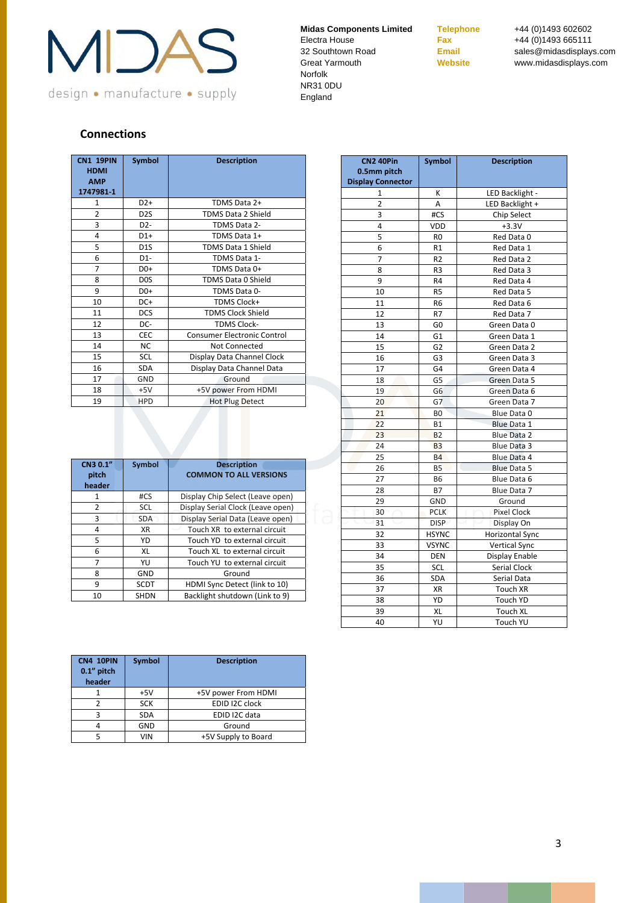

**Telephone** +44 (0)1493 602602 **Fax** +44 (0)1493 665111 **Email** sales@midasdisplays.com **Website** www.midasdisplays.com

## **Connections**

| <b>CN1 19PIN</b><br><b>HDMI</b><br><b>AMP</b><br>1747981-1 | <b>Symbol</b>    | <b>Description</b>                 |
|------------------------------------------------------------|------------------|------------------------------------|
| 1                                                          | $D2+$            | TDMS Data 2+                       |
| 2                                                          | D <sub>2</sub> S | <b>TDMS Data 2 Shield</b>          |
| 3                                                          | D <sub>2</sub> - | TDMS Data 2-                       |
| 4                                                          | $D1+$            | TDMS Data 1+                       |
| 5                                                          | D <sub>1</sub> S | TDMS Data 1 Shield                 |
| 6                                                          | $D1-$            | TDMS Data 1-                       |
| $\overline{7}$                                             | $D0+$            | TDMS Data 0+                       |
| 8                                                          | D <sub>0</sub> S | <b>TDMS Data 0 Shield</b>          |
| 9                                                          | D <sub>0+</sub>  | TDMS Data 0-                       |
| 10                                                         | DC+              | <b>TDMS Clock+</b>                 |
| 11                                                         | <b>DCS</b>       | <b>TDMS Clock Shield</b>           |
| 12                                                         | DC-              | <b>TDMS Clock-</b>                 |
| 13                                                         | CEC              | <b>Consumer Electronic Control</b> |
| 14                                                         | <b>NC</b>        | Not Connected                      |
| 15                                                         | SCL              | Display Data Channel Clock         |
| 16                                                         | <b>SDA</b>       | Display Data Channel Data          |
| 17                                                         | GND              | Ground                             |
| 18                                                         | $+5V$            | +5V power From HDMI                |
| 19                                                         | <b>HPD</b>       | <b>Hot Plug Detect</b>             |

| CN3 0.1"<br>pitch<br>header | <b>Symbol</b> | <b>Description</b><br><b>COMMON TO ALL VERSIONS</b> |
|-----------------------------|---------------|-----------------------------------------------------|
| 1                           | #CS           | Display Chip Select (Leave open)                    |
| $\overline{2}$              | <b>SCL</b>    | Display Serial Clock (Leave open)                   |
| 3                           | <b>SDA</b>    | Display Serial Data (Leave open)                    |
| 4                           | <b>XR</b>     | Touch XR to external circuit                        |
| 5                           | YD            | Touch YD to external circuit                        |
| 6                           | XL            | Touch XL to external circuit                        |
| 7                           | YU            | Touch YU to external circuit                        |
| 8                           | <b>GND</b>    | Ground                                              |
| 9                           | <b>SCDT</b>   | HDMI Sync Detect (link to 10)                       |
| 10                          | <b>SHDN</b>   | Backlight shutdown (Link to 9)                      |

| <b>CN4 10PIN</b><br>$0.1$ " pitch<br>header | <b>Symbol</b> | <b>Description</b>  |
|---------------------------------------------|---------------|---------------------|
|                                             | $+5V$         | +5V power From HDMI |
| 2                                           | <b>SCK</b>    | EDID I2C clock      |
| ς                                           | <b>SDA</b>    | EDID I2C data       |
| 4                                           | GND           | Ground              |
|                                             | VIN           | +5V Supply to Board |

| <b>CN2 40Pin</b>         | <b>Symbol</b>  | <b>Description</b>     |  |
|--------------------------|----------------|------------------------|--|
| 0.5mm pitch              |                |                        |  |
| <b>Display Connector</b> |                |                        |  |
| $\mathbf{1}$             | K              | LED Backlight -        |  |
| 2                        | Α              | LED Backlight +        |  |
| 3                        | #CS            | Chip Select            |  |
| 4                        | VDD            | $+3.3V$                |  |
| 5                        | R0             | Red Data 0             |  |
| 6                        | R1             | Red Data 1             |  |
| 7                        | R <sub>2</sub> | Red Data 2             |  |
| 8                        | R <sub>3</sub> | Red Data 3             |  |
| 9                        | R <sub>4</sub> | Red Data 4             |  |
| 10                       | R <sub>5</sub> | Red Data 5             |  |
| 11                       | R <sub>6</sub> | Red Data 6             |  |
| 12                       | R7             | Red Data 7             |  |
| 13                       | G <sub>0</sub> | Green Data 0           |  |
| 14                       | G <sub>1</sub> | Green Data 1           |  |
| 15                       | G <sub>2</sub> | Green Data 2           |  |
| 16                       | G <sub>3</sub> | Green Data 3           |  |
| 17                       | G4             | Green Data 4           |  |
| 18                       | G5             | Green Data 5           |  |
| 19                       | G <sub>6</sub> | Green Data 6           |  |
| 20                       | G7             | Green Data 7           |  |
| 21                       | BO             | Blue Data 0            |  |
| 22                       | <b>B1</b>      | <b>Blue Data 1</b>     |  |
| 23                       | <b>B2</b>      | <b>Blue Data 2</b>     |  |
| 24                       | <b>B3</b>      | <b>Blue Data 3</b>     |  |
| 25                       | <b>B4</b>      | Blue Data 4            |  |
| 26                       | <b>B5</b>      | <b>Blue Data 5</b>     |  |
| 27                       | <b>B6</b>      | Blue Data 6            |  |
| 28                       | <b>B7</b>      | Blue Data 7            |  |
| 29                       | GND            | Ground                 |  |
| 30                       | <b>PCLK</b>    | <b>Pixel Clock</b>     |  |
| 31                       | <b>DISP</b>    | Display On             |  |
| 32                       | <b>HSYNC</b>   | <b>Horizontal Sync</b> |  |
| 33                       | <b>VSYNC</b>   | Vertical Sync          |  |
| 34                       | DEN            | Display Enable         |  |
| 35                       | SCL            | <b>Serial Clock</b>    |  |
| 36                       | SDA            | Serial Data            |  |
| 37                       | XR             | Touch XR               |  |
| 38                       | YD             | Touch YD               |  |
| 39                       | XL             | Touch XL               |  |
| 40                       | YU             | Touch YU               |  |
|                          |                |                        |  |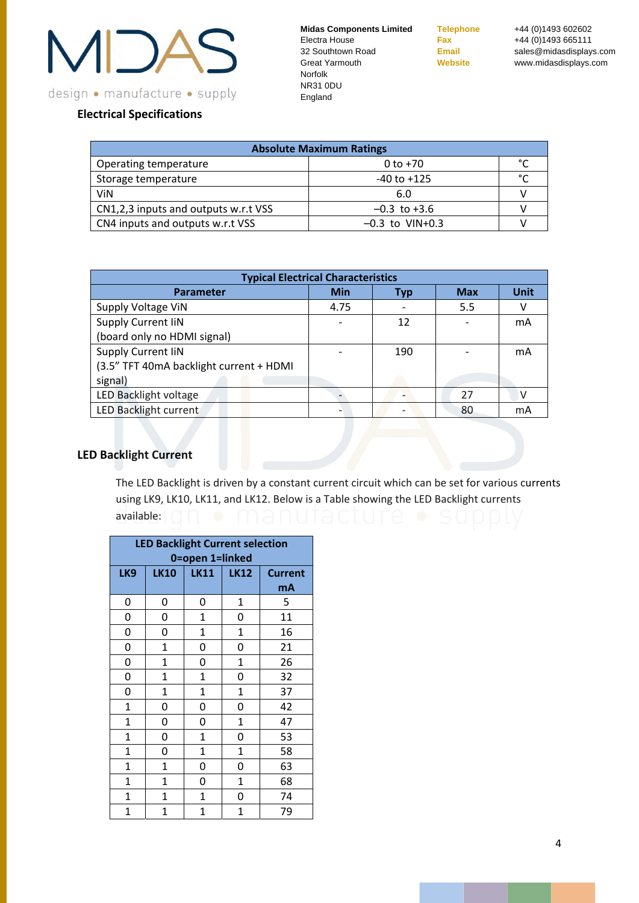

**Telephone** +44 (0)1493 602602 **Fax** +44 (0)1493 665111 **Email** sales@midasdisplays.com **Website** www.midasdisplays.com

# **Electrical Specifications**

| <b>Absolute Maximum Ratings</b>      |                   |        |  |
|--------------------------------------|-------------------|--------|--|
| Operating temperature                | $0 to +70$        | $\sim$ |  |
| Storage temperature                  | $-40$ to $+125$   | $\sim$ |  |
| ViN                                  | 6.0               |        |  |
| CN1,2,3 inputs and outputs w.r.t VSS | $-0.3$ to $+3.6$  |        |  |
| CN4 inputs and outputs w.r.t VSS     | $-0.3$ to VIN+0.3 |        |  |

| <b>Typical Electrical Characteristics</b> |      |     |            |             |
|-------------------------------------------|------|-----|------------|-------------|
| <b>Parameter</b>                          | Min  | Tvp | <b>Max</b> | <b>Unit</b> |
| Supply Voltage ViN                        | 4.75 |     | 5.5        | ٧           |
| Supply Current IiN                        |      | 12  |            | mA          |
| (board only no HDMI signal)               |      |     |            |             |
| Supply Current IiN                        |      | 190 |            | mA          |
| (3.5" TFT 40mA backlight current + HDMI   |      |     |            |             |
| signal)                                   |      |     |            |             |
| LED Backlight voltage                     |      |     | 27         |             |
| LED Backlight current                     |      |     | 80         | mA          |

# **LED Backlight Current**

The LED Backlight is driven by a constant current circuit which can be set for various currents using LK9, LK10, LK11, and LK12. Below is a Table showing the LED Backlight currents available:

| <b>LED Backlight Current selection</b><br>0=open 1=linked |              |              |             |                |
|-----------------------------------------------------------|--------------|--------------|-------------|----------------|
| LK9                                                       | <b>LK10</b>  | <b>LK11</b>  | <b>LK12</b> | <b>Current</b> |
|                                                           |              |              |             | mA             |
| 0                                                         | 0            | 0            | 1           | 5              |
| 0                                                         | 0            | 1            | 0           | 11             |
| 0                                                         | 0            | $\mathbf{1}$ | 1           | 16             |
| 0                                                         | $\mathbf{1}$ | 0            | 0           | 21             |
| 0                                                         | $\mathbf 1$  | 0            | $\mathbf 1$ | 26             |
| 0                                                         | $\mathbf 1$  | $\mathbf 1$  | 0           | 32             |
| 0                                                         | 1            | $\mathbf 1$  | $\mathbf 1$ | 37             |
| $\mathbf{1}$                                              | 0            | 0            | 0           | 42             |
| $\mathbf{1}$                                              | 0            | 0            | 1           | 47             |
| $\mathbf{1}$                                              | 0            | 1            | 0           | 53             |
| $\mathbf{1}$                                              | 0            | 1            | 1           | 58             |
| $\mathbf{1}$                                              | $\mathbf{1}$ | 0            | 0           | 63             |
| $\mathbf{1}$                                              | 1            | 0            | 1           | 68             |
| $\mathbf{1}$                                              | 1            | 1            | 0           | 74             |
| $\mathbf{1}$                                              | 1            | 1            | 1           | 79             |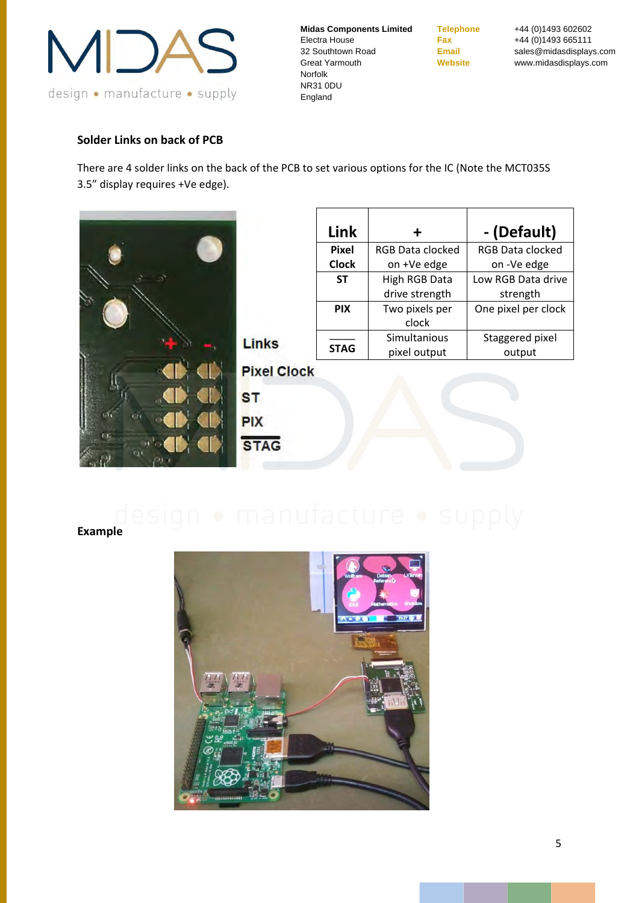

**Telephone** +44 (0)1493 602602 **Fax** +44 (0)1493 665111 **Email** sales@midasdisplays.com **Website** www.midasdisplays.com

# **Solder Links on back of PCB**

There are 4 solder links on the back of the PCB to set various options for the IC (Note the MCT035S 3.5" display requires +Ve edge).



| Link         | ╋                       | - (Default)             |
|--------------|-------------------------|-------------------------|
| <b>Pixel</b> | <b>RGB Data clocked</b> | <b>RGB Data clocked</b> |
| <b>Clock</b> | on +Ve edge             | on -Ve edge             |
| <b>ST</b>    | High RGB Data           | Low RGB Data drive      |
|              | drive strength          | strength                |
| <b>PIX</b>   | Two pixels per          | One pixel per clock     |
|              | clock                   |                         |
|              | Simultanious            | Staggered pixel         |
| <b>STAG</b>  | pixel output            | output                  |

**Pixel Clock** 

**ST PIX STAG** 



**Example**

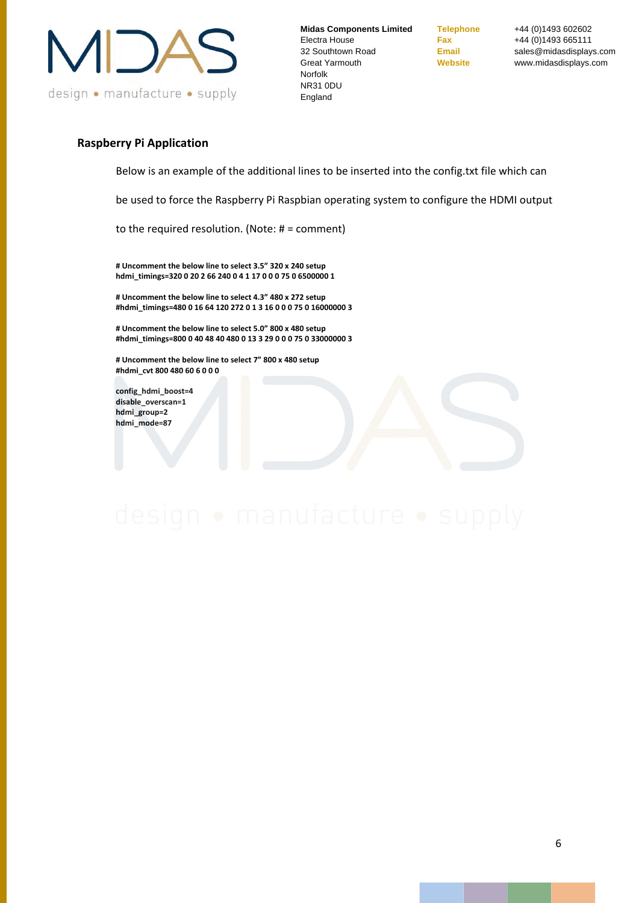

**Telephone** +44 (0)1493 602602 **Fax** +44 (0) 1493 665111 **Email** sales@midasdisplays.com **Website** www.midasdisplays.com

#### **Raspberry Pi Application**

Below is an example of the additional lines to be inserted into the config.txt file which can

be used to force the Raspberry Pi Raspbian operating system to configure the HDMI output

to the required resolution. (Note: # = comment)

**# Uncomment the below line to select 3.5" 320 x 240 setup hdmi\_timings=320 0 20 2 66 240 0 4 1 17 0 0 0 75 0 6500000 1**

**# Uncomment the below line to select 4.3" 480 x 272 setup #hdmi\_timings=480 0 16 64 120 272 0 1 3 16 0 0 0 75 0 16000000 3**

**# Uncomment the below line to select 5.0" 800 x 480 setup #hdmi\_timings=800 0 40 48 40 480 0 13 3 29 0 0 0 75 0 33000000 3**

**# Uncomment the below line to select 7" 800 x 480 setup #hdmi\_cvt 800 480 60 6 0 0 0**

**config\_hdmi\_boost=4 disable\_overscan=1 hdmi\_group=2 hdmi\_mode=87**